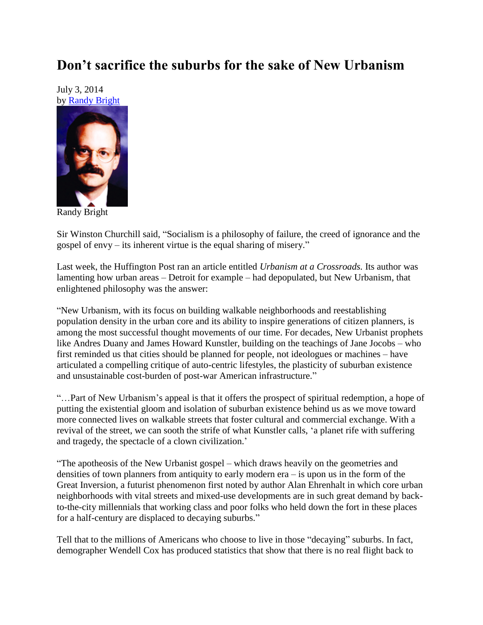## **Don't sacrifice the suburbs for the sake of New Urbanism**

July 3, 2014 by [Randy Bright](http://tulsabeacon.com/writers/randy-bright/)



Randy Bright

Sir Winston Churchill said, "Socialism is a philosophy of failure, the creed of ignorance and the gospel of envy – its inherent virtue is the equal sharing of misery."

Last week, the Huffington Post ran an article entitled *Urbanism at a Crossroads.* Its author was lamenting how urban areas – Detroit for example – had depopulated, but New Urbanism, that enlightened philosophy was the answer:

"New Urbanism, with its focus on building walkable neighborhoods and reestablishing population density in the urban core and its ability to inspire generations of citizen planners, is among the most successful thought movements of our time. For decades, New Urbanist prophets like Andres Duany and James Howard Kunstler, building on the teachings of Jane Jocobs – who first reminded us that cities should be planned for people, not ideologues or machines – have articulated a compelling critique of auto-centric lifestyles, the plasticity of suburban existence and unsustainable cost-burden of post-war American infrastructure."

"…Part of New Urbanism"s appeal is that it offers the prospect of spiritual redemption, a hope of putting the existential gloom and isolation of suburban existence behind us as we move toward more connected lives on walkable streets that foster cultural and commercial exchange. With a revival of the street, we can sooth the strife of what Kunstler calls, "a planet rife with suffering and tragedy, the spectacle of a clown civilization."

"The apotheosis of the New Urbanist gospel – which draws heavily on the geometries and densities of town planners from antiquity to early modern era – is upon us in the form of the Great Inversion, a futurist phenomenon first noted by author Alan Ehrenhalt in which core urban neighborhoods with vital streets and mixed-use developments are in such great demand by backto-the-city millennials that working class and poor folks who held down the fort in these places for a half-century are displaced to decaying suburbs."

Tell that to the millions of Americans who choose to live in those "decaying" suburbs. In fact, demographer Wendell Cox has produced statistics that show that there is no real flight back to